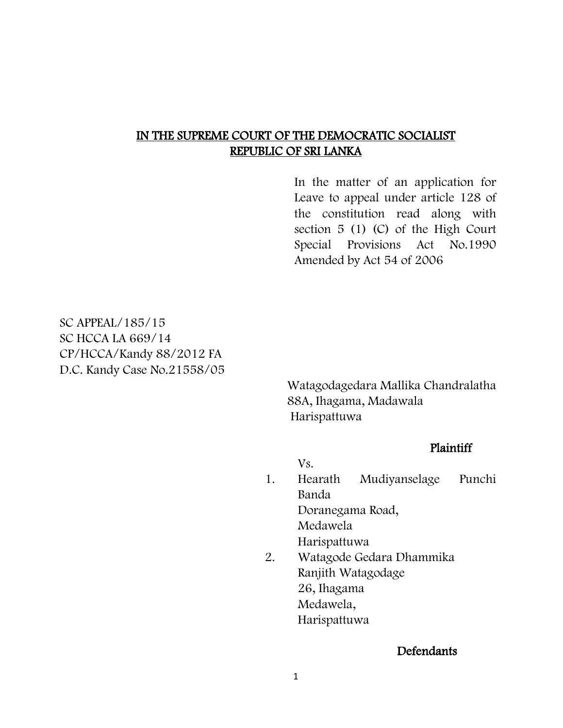### IN THE SUPREME COURT OF THE DEMOCRATIC SOCIALIST REPUBLIC OF SRI LANKA

In the matter of an application for Leave to appeal under article 128 of the constitution read along with section 5 (1) (C) of the High Court Special Provisions Act No.1990 Amended by Act 54 of 2006

SC APPEAL/185/15 SC HCCA LA 669/14 CP/HCCA/Kandy 88/2012 FA D.C. Kandy Case No.21558/05

> Watagodagedara Mallika Chandralatha 88A, Ihagama, Madawala Harispattuwa

### Plaintiff

Vs.

- 1. Hearath Mudiyanselage Punchi Banda Doranegama Road, Medawela Harispattuwa
- 2. Watagode Gedara Dhammika Ranjith Watagodage 26, Ihagama Medawela, Harispattuwa

#### **Defendants**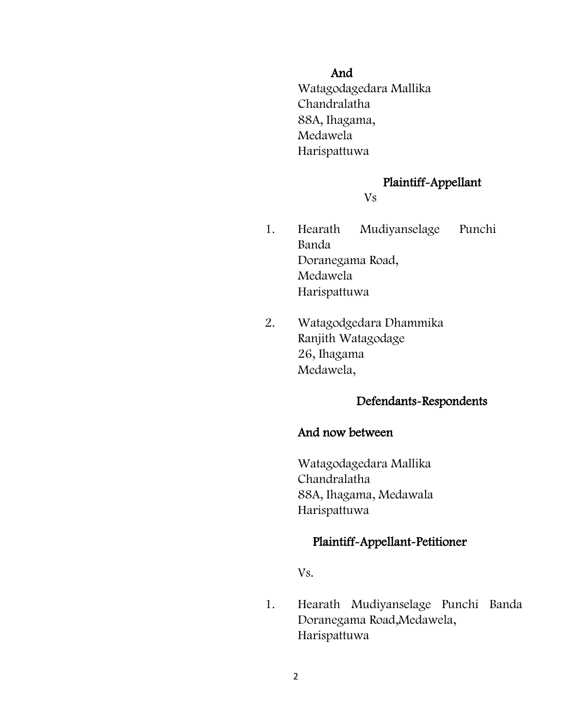#### And

 Watagodagedara Mallika Chandralatha 88A, Ihagama, Medawela Harispattuwa

## Plaintiff-Appellant

Vs

- 1. Hearath Mudiyanselage Punchi Banda Doranegama Road, Medawela Harispattuwa
- 2. Watagodgedara Dhammika Ranjith Watagodage 26, Ihagama Medawela,

### Defendants-Respondents

# And now between

 Watagodagedara Mallika Chandralatha 88A, Ihagama, Medawala Harispattuwa

#### Plaintiff-Appellant-Petitioner

Vs.

1. Hearath Mudiyanselage Punchi Banda Doranegama Road,Medawela, Harispattuwa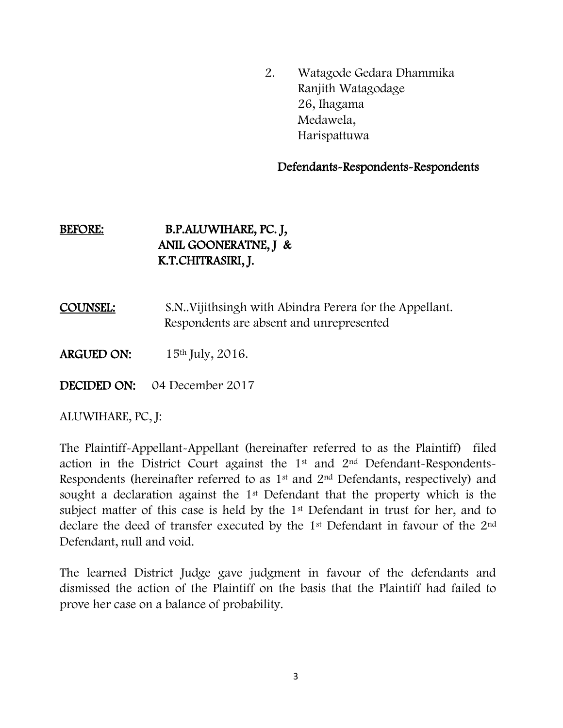2. Watagode Gedara Dhammika Ranjith Watagodage 26, Ihagama Medawela, Harispattuwa

## Defendants-Respondents-Respondents

# BEFORE: B.P.ALUWIHARE, PC. J, ANIL GOONERATNE, J & K.T.CHITRASIRI, J.

- COUNSEL: S.N..Vijithsingh with Abindra Perera for the Appellant. Respondents are absent and unrepresented
- ARGUED ON: 15th July, 2016.
- DECIDED ON: 04 December 2017

### ALUWIHARE, PC, J:

The Plaintiff-Appellant-Appellant (hereinafter referred to as the Plaintiff) filed action in the District Court against the 1st and 2nd Defendant-Respondents-Respondents (hereinafter referred to as  $1<sup>st</sup>$  and  $2<sup>nd</sup>$  Defendants, respectively) and sought a declaration against the 1<sup>st</sup> Defendant that the property which is the subject matter of this case is held by the 1<sup>st</sup> Defendant in trust for her, and to declare the deed of transfer executed by the 1<sup>st</sup> Defendant in favour of the 2<sup>nd</sup> Defendant, null and void.

The learned District Judge gave judgment in favour of the defendants and dismissed the action of the Plaintiff on the basis that the Plaintiff had failed to prove her case on a balance of probability.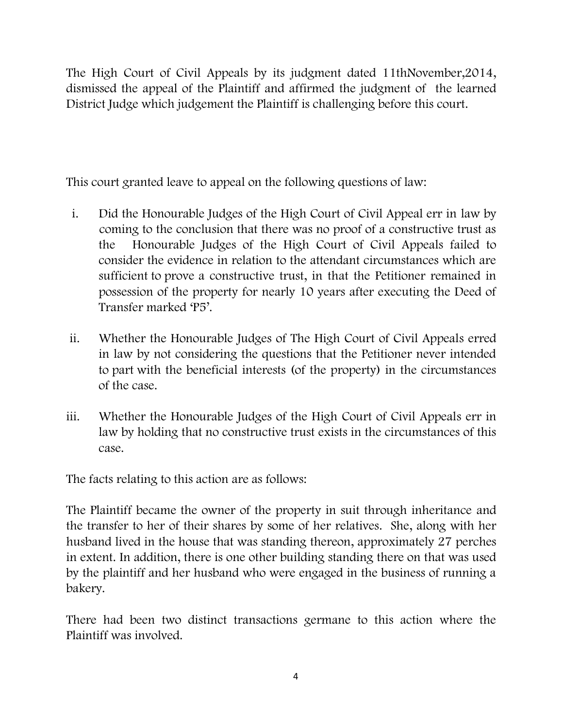The High Court of Civil Appeals by its judgment dated 11thNovember,2014, dismissed the appeal of the Plaintiff and affirmed the judgment of the learned District Judge which judgement the Plaintiff is challenging before this court.

This court granted leave to appeal on the following questions of law:

- i. Did the Honourable Judges of the High Court of Civil Appeal err in law by coming to the conclusion that there was no proof of a constructive trust as the Honourable Judges of the High Court of Civil Appeals failed to consider the evidence in relation to the attendant circumstances which are sufficient to prove a constructive trust, in that the Petitioner remained in possession of the property for nearly 10 years after executing the Deed of Transfer marked 'P5'.
- ii. Whether the Honourable Judges of The High Court of Civil Appeals erred in law by not considering the questions that the Petitioner never intended to part with the beneficial interests (of the property) in the circumstances of the case.
- iii. Whether the Honourable Judges of the High Court of Civil Appeals err in law by holding that no constructive trust exists in the circumstances of this case.

The facts relating to this action are as follows:

The Plaintiff became the owner of the property in suit through inheritance and the transfer to her of their shares by some of her relatives. She, along with her husband lived in the house that was standing thereon, approximately 27 perches in extent. In addition, there is one other building standing there on that was used by the plaintiff and her husband who were engaged in the business of running a bakery.

There had been two distinct transactions germane to this action where the Plaintiff was involved.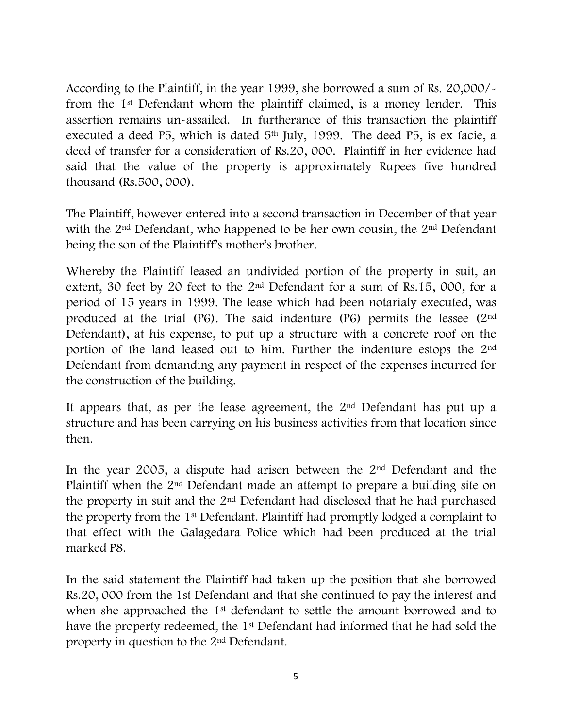According to the Plaintiff, in the year 1999, she borrowed a sum of Rs. 20,000/ from the 1st Defendant whom the plaintiff claimed, is a money lender. This assertion remains un-assailed. In furtherance of this transaction the plaintiff executed a deed P5, which is dated 5<sup>th</sup> July, 1999. The deed P5, is ex facie, a deed of transfer for a consideration of Rs.20, 000. Plaintiff in her evidence had said that the value of the property is approximately Rupees five hundred thousand (Rs.500, 000).

The Plaintiff, however entered into a second transaction in December of that year with the 2<sup>nd</sup> Defendant, who happened to be her own cousin, the 2<sup>nd</sup> Defendant being the son of the Plaintiff's mother's brother.

Whereby the Plaintiff leased an undivided portion of the property in suit, an extent, 30 feet by 20 feet to the 2nd Defendant for a sum of Rs.15, 000, for a period of 15 years in 1999. The lease which had been notarialy executed, was produced at the trial (P6). The said indenture (P6) permits the lessee  $(2<sup>nd</sup>)$ Defendant), at his expense, to put up a structure with a concrete roof on the portion of the land leased out to him. Further the indenture estops the 2nd Defendant from demanding any payment in respect of the expenses incurred for the construction of the building.

It appears that, as per the lease agreement, the 2nd Defendant has put up a structure and has been carrying on his business activities from that location since then.

In the year 2005, a dispute had arisen between the 2nd Defendant and the Plaintiff when the 2nd Defendant made an attempt to prepare a building site on the property in suit and the 2nd Defendant had disclosed that he had purchased the property from the 1st Defendant. Plaintiff had promptly lodged a complaint to that effect with the Galagedara Police which had been produced at the trial marked P8.

In the said statement the Plaintiff had taken up the position that she borrowed Rs.20, 000 from the 1st Defendant and that she continued to pay the interest and when she approached the 1<sup>st</sup> defendant to settle the amount borrowed and to have the property redeemed, the 1st Defendant had informed that he had sold the property in question to the 2nd Defendant.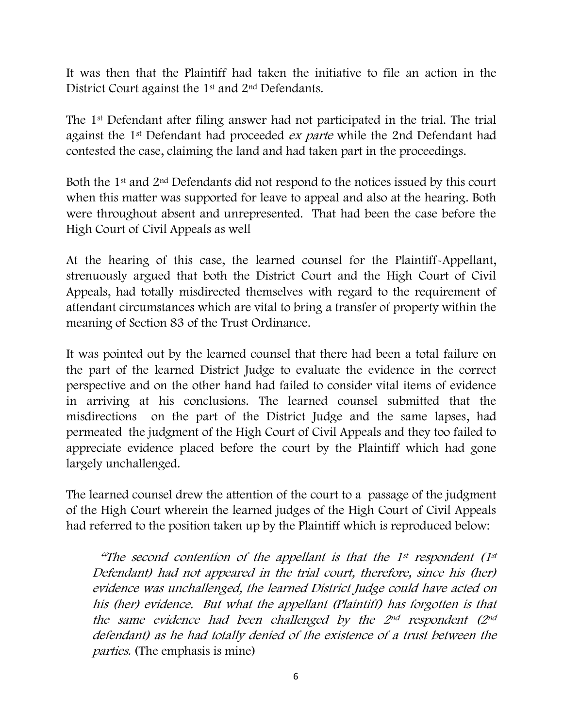It was then that the Plaintiff had taken the initiative to file an action in the District Court against the 1st and 2nd Defendants.

The 1st Defendant after filing answer had not participated in the trial. The trial against the 1<sup>st</sup> Defendant had proceeded *ex parte* while the 2nd Defendant had contested the case, claiming the land and had taken part in the proceedings.

Both the 1st and 2nd Defendants did not respond to the notices issued by this court when this matter was supported for leave to appeal and also at the hearing. Both were throughout absent and unrepresented. That had been the case before the High Court of Civil Appeals as well

At the hearing of this case, the learned counsel for the Plaintiff-Appellant, strenuously argued that both the District Court and the High Court of Civil Appeals, had totally misdirected themselves with regard to the requirement of attendant circumstances which are vital to bring a transfer of property within the meaning of Section 83 of the Trust Ordinance.

It was pointed out by the learned counsel that there had been a total failure on the part of the learned District Judge to evaluate the evidence in the correct perspective and on the other hand had failed to consider vital items of evidence in arriving at his conclusions. The learned counsel submitted that the misdirections on the part of the District Judge and the same lapses, had permeated the judgment of the High Court of Civil Appeals and they too failed to appreciate evidence placed before the court by the Plaintiff which had gone largely unchallenged.

The learned counsel drew the attention of the court to a passage of the judgment of the High Court wherein the learned judges of the High Court of Civil Appeals had referred to the position taken up by the Plaintiff which is reproduced below:

"The second contention of the appellant is that the  $1<sup>st</sup>$  respondent ( $1<sup>st</sup>$ Defendant) had not appeared in the trial court, therefore, since his (her) evidence was unchallenged, the learned District Judge could have acted on his (her) evidence. But what the appellant (Plaintiff) has forgotten is that the same evidence had been challenged by the  $2<sup>nd</sup>$  respondent ( $2<sup>nd</sup>$ defendant) as he had totally denied of the existence of a trust between the parties. (The emphasis is mine)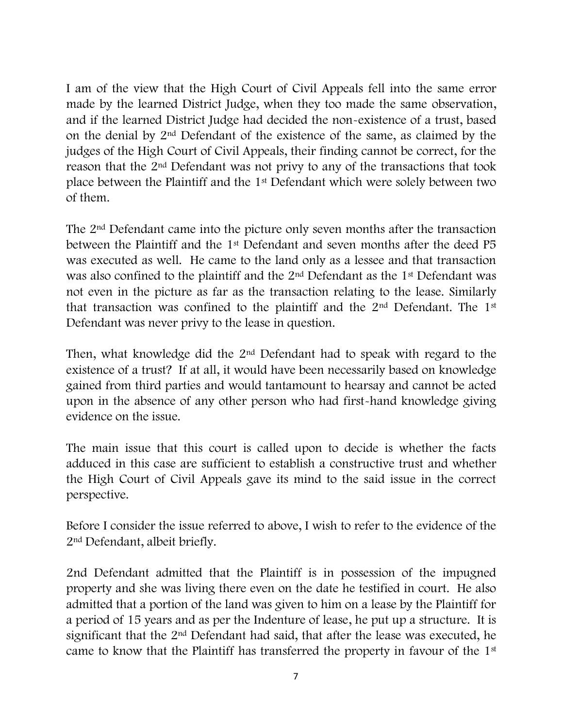I am of the view that the High Court of Civil Appeals fell into the same error made by the learned District Judge, when they too made the same observation, and if the learned District Judge had decided the non-existence of a trust, based on the denial by 2nd Defendant of the existence of the same, as claimed by the judges of the High Court of Civil Appeals, their finding cannot be correct, for the reason that the 2nd Defendant was not privy to any of the transactions that took place between the Plaintiff and the 1st Defendant which were solely between two of them.

The 2nd Defendant came into the picture only seven months after the transaction between the Plaintiff and the 1st Defendant and seven months after the deed P5 was executed as well. He came to the land only as a lessee and that transaction was also confined to the plaintiff and the 2nd Defendant as the 1st Defendant was not even in the picture as far as the transaction relating to the lease. Similarly that transaction was confined to the plaintiff and the 2nd Defendant. The 1st Defendant was never privy to the lease in question.

Then, what knowledge did the 2nd Defendant had to speak with regard to the existence of a trust? If at all, it would have been necessarily based on knowledge gained from third parties and would tantamount to hearsay and cannot be acted upon in the absence of any other person who had first-hand knowledge giving evidence on the issue.

The main issue that this court is called upon to decide is whether the facts adduced in this case are sufficient to establish a constructive trust and whether the High Court of Civil Appeals gave its mind to the said issue in the correct perspective.

Before I consider the issue referred to above, I wish to refer to the evidence of the 2nd Defendant, albeit briefly.

2nd Defendant admitted that the Plaintiff is in possession of the impugned property and she was living there even on the date he testified in court. He also admitted that a portion of the land was given to him on a lease by the Plaintiff for a period of 15 years and as per the Indenture of lease, he put up a structure. It is significant that the 2nd Defendant had said, that after the lease was executed, he came to know that the Plaintiff has transferred the property in favour of the 1st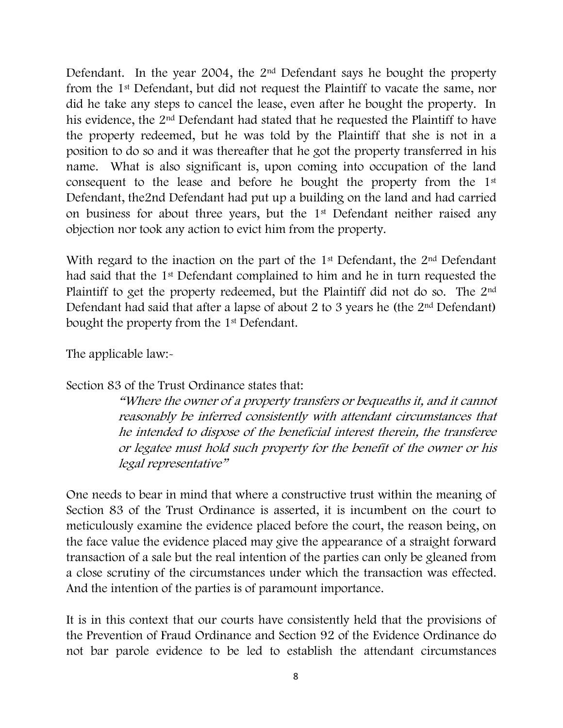Defendant. In the year 2004, the 2nd Defendant says he bought the property from the 1st Defendant, but did not request the Plaintiff to vacate the same, nor did he take any steps to cancel the lease, even after he bought the property. In his evidence, the 2nd Defendant had stated that he requested the Plaintiff to have the property redeemed, but he was told by the Plaintiff that she is not in a position to do so and it was thereafter that he got the property transferred in his name. What is also significant is, upon coming into occupation of the land consequent to the lease and before he bought the property from the 1st Defendant, the2nd Defendant had put up a building on the land and had carried on business for about three years, but the 1st Defendant neither raised any objection nor took any action to evict him from the property.

With regard to the inaction on the part of the 1<sup>st</sup> Defendant, the 2<sup>nd</sup> Defendant had said that the 1st Defendant complained to him and he in turn requested the Plaintiff to get the property redeemed, but the Plaintiff did not do so. The 2<sup>nd</sup> Defendant had said that after a lapse of about 2 to 3 years he (the 2nd Defendant) bought the property from the 1st Defendant.

The applicable law:-

### Section 83 of the Trust Ordinance states that:

"Where the owner of a property transfers or bequeaths it, and it cannot reasonably be inferred consistently with attendant circumstances that he intended to dispose of the beneficial interest therein, the transferee or legatee must hold such property for the benefit of the owner or his legal representative"

One needs to bear in mind that where a constructive trust within the meaning of Section 83 of the Trust Ordinance is asserted, it is incumbent on the court to meticulously examine the evidence placed before the court, the reason being, on the face value the evidence placed may give the appearance of a straight forward transaction of a sale but the real intention of the parties can only be gleaned from a close scrutiny of the circumstances under which the transaction was effected. And the intention of the parties is of paramount importance.

It is in this context that our courts have consistently held that the provisions of the Prevention of Fraud Ordinance and Section 92 of the Evidence Ordinance do not bar parole evidence to be led to establish the attendant circumstances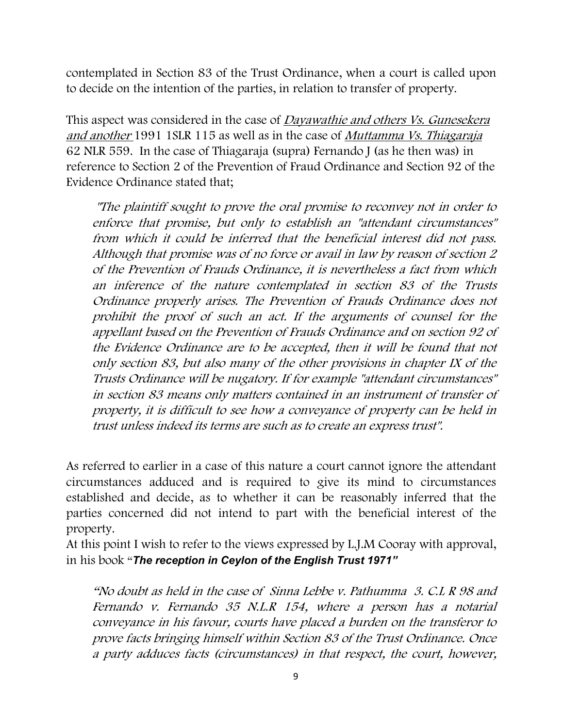contemplated in Section 83 of the Trust Ordinance, when a court is called upon to decide on the intention of the parties, in relation to transfer of property.

This aspect was considered in the case of *Dayawathie and others Vs. Gunesekera* and another 1991 1SLR 115 as well as in the case of Muttamma Vs. Thiagaraja 62 NLR 559. In the case of Thiagaraja (supra) Fernando J (as he then was) in reference to Section 2 of the Prevention of Fraud Ordinance and Section 92 of the Evidence Ordinance stated that;

"The plaintiff sought to prove the oral promise to reconvey not in order to enforce that promise, but only to establish an "attendant circumstances" from which it could be inferred that the beneficial interest did not pass. Although that promise was of no force or avail in law by reason of section 2 of the Prevention of Frauds Ordinance, it is nevertheless a fact from which an inference of the nature contemplated in section 83 of the Trusts Ordinance properly arises. The Prevention of Frauds Ordinance does not prohibit the proof of such an act. If the arguments of counsel for the appellant based on the Prevention of Frauds Ordinance and on section 92 of the Evidence Ordinance are to be accepted, then it will be found that not only section 83, but also many of the other provisions in chapter IX of the Trusts Ordinance will be nugatory. If for example "attendant circumstances" in section 83 means only matters contained in an instrument of transfer of property, it is difficult to see how a conveyance of property can be held in trust unless indeed its terms are such as to create an express trust".

As referred to earlier in a case of this nature a court cannot ignore the attendant circumstances adduced and is required to give its mind to circumstances established and decide, as to whether it can be reasonably inferred that the parties concerned did not intend to part with the beneficial interest of the property.

At this point I wish to refer to the views expressed by L.J.M Cooray with approval, in his book "*The reception in Ceylon of the English Trust 1971"*

"No doubt as held in the case of Sinna Lebbe v. Pathumma 3. C.L R 98 and Fernando v. Fernando 35 N.L.R 154, where a person has a notarial conveyance in his favour, courts have placed a burden on the transferor to prove facts bringing himself within Section 83 of the Trust Ordinance. Once a party adduces facts (circumstances) in that respect, the court, however,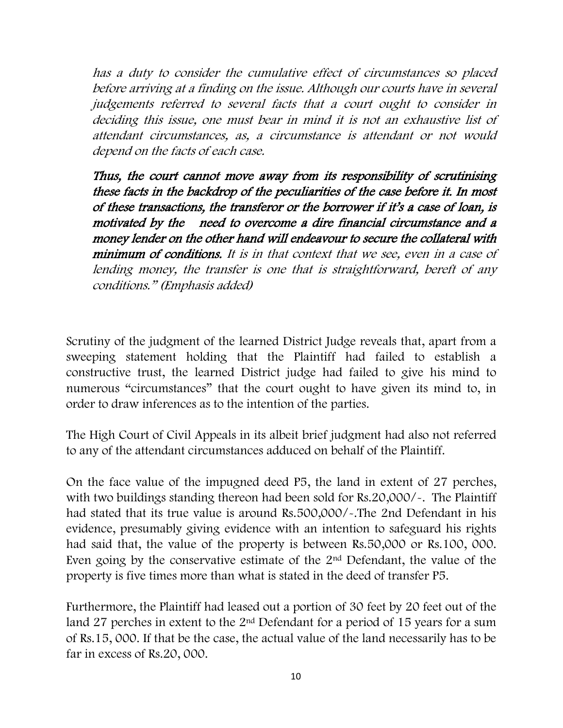has a duty to consider the cumulative effect of circumstances so placed before arriving at a finding on the issue. Although our courts have in several judgements referred to several facts that a court ought to consider in deciding this issue, one must bear in mind it is not an exhaustive list of attendant circumstances, as, a circumstance is attendant or not would depend on the facts of each case.

Thus, the court cannot move away from its responsibility of scrutinising these facts in the backdrop of the peculiarities of the case before it. In most of these transactions, the transferor or the borrower if it"s a case of loan, is motivated by the need to overcome a dire financial circumstance and a money lender on the other hand will endeavour to secure the collateral with minimum of conditions. It is in that context that we see, even in a case of lending money, the transfer is one that is straightforward, bereft of any conditions." (Emphasis added)

Scrutiny of the judgment of the learned District Judge reveals that, apart from a sweeping statement holding that the Plaintiff had failed to establish a constructive trust, the learned District judge had failed to give his mind to numerous "circumstances" that the court ought to have given its mind to, in order to draw inferences as to the intention of the parties.

The High Court of Civil Appeals in its albeit brief judgment had also not referred to any of the attendant circumstances adduced on behalf of the Plaintiff.

On the face value of the impugned deed P5, the land in extent of 27 perches, with two buildings standing thereon had been sold for Rs.20,000/-. The Plaintiff had stated that its true value is around Rs.500,000/-.The 2nd Defendant in his evidence, presumably giving evidence with an intention to safeguard his rights had said that, the value of the property is between Rs.50,000 or Rs.100, 000. Even going by the conservative estimate of the 2nd Defendant, the value of the property is five times more than what is stated in the deed of transfer P5.

Furthermore, the Plaintiff had leased out a portion of 30 feet by 20 feet out of the land 27 perches in extent to the 2nd Defendant for a period of 15 years for a sum of Rs.15, 000. If that be the case, the actual value of the land necessarily has to be far in excess of Rs.20, 000.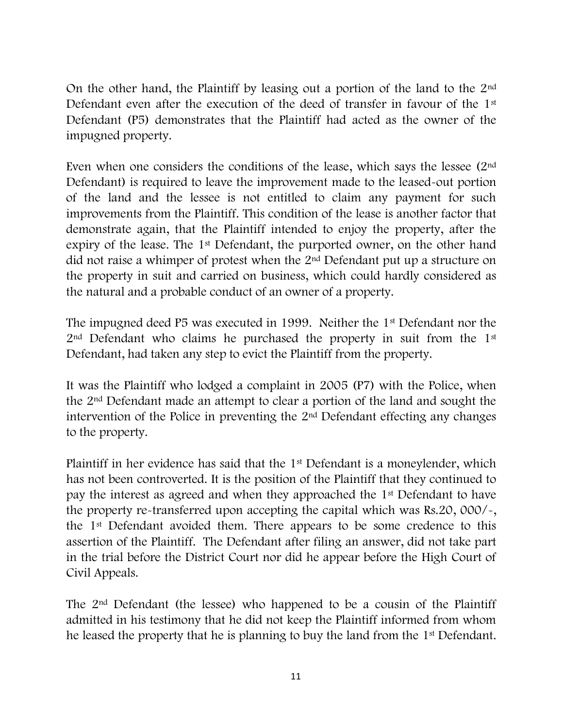On the other hand, the Plaintiff by leasing out a portion of the land to the  $2<sup>nd</sup>$ Defendant even after the execution of the deed of transfer in favour of the 1<sup>st</sup> Defendant (P5) demonstrates that the Plaintiff had acted as the owner of the impugned property.

Even when one considers the conditions of the lease, which says the lessee (2nd Defendant) is required to leave the improvement made to the leased-out portion of the land and the lessee is not entitled to claim any payment for such improvements from the Plaintiff. This condition of the lease is another factor that demonstrate again, that the Plaintiff intended to enjoy the property, after the expiry of the lease. The 1<sup>st</sup> Defendant, the purported owner, on the other hand did not raise a whimper of protest when the 2nd Defendant put up a structure on the property in suit and carried on business, which could hardly considered as the natural and a probable conduct of an owner of a property.

The impugned deed P5 was executed in 1999. Neither the 1st Defendant nor the 2<sup>nd</sup> Defendant who claims he purchased the property in suit from the 1<sup>st</sup> Defendant, had taken any step to evict the Plaintiff from the property.

It was the Plaintiff who lodged a complaint in 2005 (P7) with the Police, when the 2nd Defendant made an attempt to clear a portion of the land and sought the intervention of the Police in preventing the 2nd Defendant effecting any changes to the property.

Plaintiff in her evidence has said that the 1st Defendant is a moneylender, which has not been controverted. It is the position of the Plaintiff that they continued to pay the interest as agreed and when they approached the 1st Defendant to have the property re-transferred upon accepting the capital which was Rs.20, 000/-, the 1st Defendant avoided them. There appears to be some credence to this assertion of the Plaintiff. The Defendant after filing an answer, did not take part in the trial before the District Court nor did he appear before the High Court of Civil Appeals.

The 2nd Defendant (the lessee) who happened to be a cousin of the Plaintiff admitted in his testimony that he did not keep the Plaintiff informed from whom he leased the property that he is planning to buy the land from the 1st Defendant.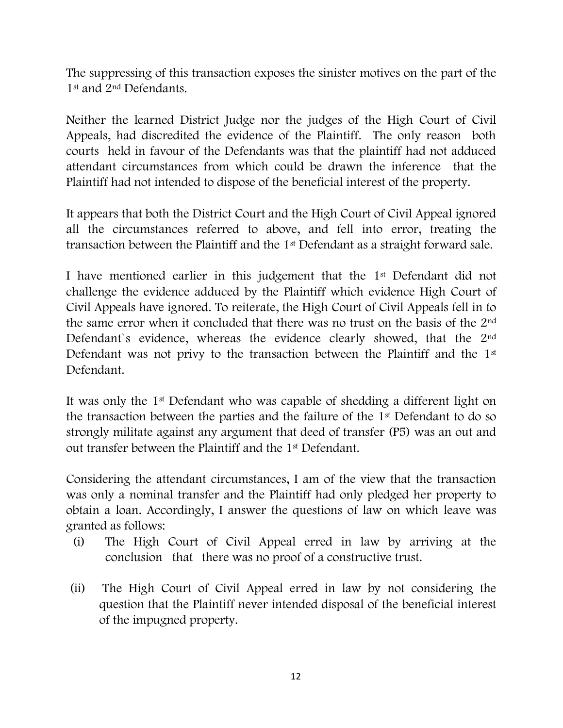The suppressing of this transaction exposes the sinister motives on the part of the 1<sup>st</sup> and 2<sup>nd</sup> Defendants.

Neither the learned District Judge nor the judges of the High Court of Civil Appeals, had discredited the evidence of the Plaintiff. The only reason both courts held in favour of the Defendants was that the plaintiff had not adduced attendant circumstances from which could be drawn the inference that the Plaintiff had not intended to dispose of the beneficial interest of the property.

It appears that both the District Court and the High Court of Civil Appeal ignored all the circumstances referred to above, and fell into error, treating the transaction between the Plaintiff and the 1st Defendant as a straight forward sale.

I have mentioned earlier in this judgement that the 1st Defendant did not challenge the evidence adduced by the Plaintiff which evidence High Court of Civil Appeals have ignored. To reiterate, the High Court of Civil Appeals fell in to the same error when it concluded that there was no trust on the basis of the 2nd Defendant's evidence, whereas the evidence clearly showed, that the 2<sup>nd</sup> Defendant was not privy to the transaction between the Plaintiff and the 1<sup>st</sup> Defendant.

It was only the 1st Defendant who was capable of shedding a different light on the transaction between the parties and the failure of the 1st Defendant to do so strongly militate against any argument that deed of transfer (P5) was an out and out transfer between the Plaintiff and the 1st Defendant.

Considering the attendant circumstances, I am of the view that the transaction was only a nominal transfer and the Plaintiff had only pledged her property to obtain a loan. Accordingly, I answer the questions of law on which leave was granted as follows:

- (i) The High Court of Civil Appeal erred in law by arriving at the conclusion that there was no proof of a constructive trust.
- (ii) The High Court of Civil Appeal erred in law by not considering the question that the Plaintiff never intended disposal of the beneficial interest of the impugned property.